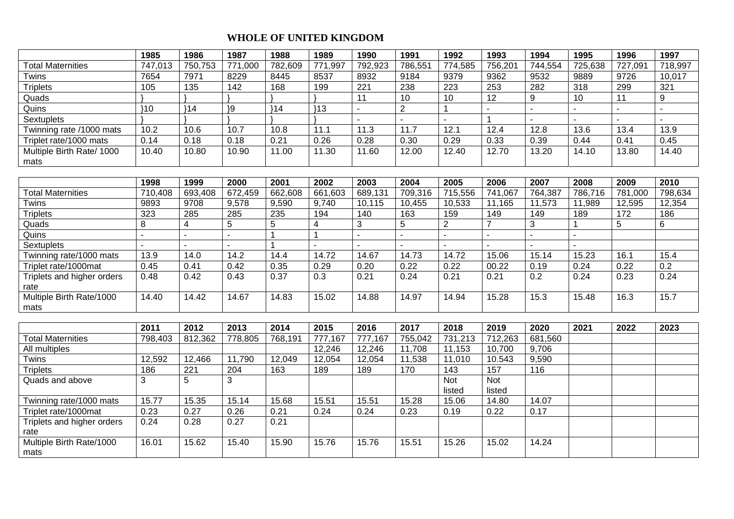## **WHOLE OF UNITED KINGDOM**

|                                    | 1985           | 1986             | 1987            | 1988         | 1989           | 1990             | 1991           | 1992             | 1993           | 1994           | 1995           | 1996    | 1997           |
|------------------------------------|----------------|------------------|-----------------|--------------|----------------|------------------|----------------|------------------|----------------|----------------|----------------|---------|----------------|
| <b>Total Maternities</b>           | 747,013        | 750,753          | 771,000         | 782,609      | 771,997        | 792,923          | 786,551        | 774,585          | 756,201        | 744,554        | 725,638        | 727,091 | 718,997        |
| Twins                              | 7654           | 7971             | 8229            | 8445         | 8537           | 8932             | 9184           | 9379             | 9362           | 9532           | 9889           | 9726    | 10,017         |
| <b>Triplets</b>                    | 105            | $\frac{1}{135}$  | $\frac{1}{142}$ | 168          | 199            | $\overline{221}$ | 238            | 223              | 253            | 282            | 318            | 299     | 321            |
| Quads                              |                |                  |                 |              |                | 11               | 10             | 10               | 12             | $\overline{9}$ | 10             | 11      | $\overline{9}$ |
| Quins                              | $}10$          | 314              | $\overline{19}$ | $}14$        | 113            |                  | $\overline{2}$ |                  |                |                |                |         |                |
| Sextuplets                         |                |                  |                 |              |                |                  |                |                  | $\overline{1}$ |                |                |         |                |
| Twinning rate /1000 mats           | 10.2           | 10.6             | 10.7            | 10.8         | 11.1           | 11.3             | 11.7           | 12.1             | 12.4           | 12.8           | 13.6           | 13.4    | 13.9           |
| Triplet rate/1000 mats             | 0.14           | 0.18             | 0.18            | 0.21         | 0.26           | 0.28             | 0.30           | 0.29             | 0.33           | 0.39           | 0.44           | 0.41    | 0.45           |
| Multiple Birth Rate/ 1000          | 10.40          | 10.80            | 10.90           | 11.00        | 11.30          | 11.60            | 12.00          | 12.40            | 12.70          | 13.20          | 14.10          | 13.80   | 14.40          |
| mats                               |                |                  |                 |              |                |                  |                |                  |                |                |                |         |                |
|                                    |                |                  |                 |              |                |                  |                |                  |                |                |                |         |                |
|                                    | 1998           | 1999             | 2000            | 2001         | 2002           | 2003             | 2004           | 2005             | 2006           | 2007           | 2008           | 2009    | 2010           |
| <b>Total Maternities</b>           | 710,408        | 693,408          | 672,459         | 662,608      | 661,603        | 689,131          | 709,316        | 715,556          | 741,067        | 764,387        | 786,716        | 781,000 | 798,634        |
| Twins                              | 9893           | 9708             | 9,578           | 9,590        | 9,740          | 10,115           | 10,455         | 10,533           | 11,165         | 11,573         | 11,989         | 12,595  | 12,354         |
| <b>Triplets</b>                    | 323            | 285              | 285             | 235          | 194            | 140              | 163            | 159              | 149            | 149            | 189            | 172     | 186            |
| Quads                              | 8              | 4                | $\overline{5}$  | 5            | $\overline{4}$ | 3                | $\sqrt{5}$     | $\overline{2}$   | $\overline{7}$ | 3              | 1              | 5       | 6              |
| Quins                              | $\overline{a}$ |                  |                 | $\mathbf{1}$ |                |                  | $\mathbf{r}$   |                  | $\sim$         |                | $\overline{a}$ |         |                |
| Sextuplets                         |                |                  |                 | $\mathbf{1}$ |                |                  |                |                  |                |                |                |         |                |
| Twinning rate/1000 mats            | 13.9           | 14.0             | 14.2            | 14.4         | 14.72          | 14.67            | 14.73          | 14.72            | 15.06          | 15.14          | 15.23          | 16.1    | 15.4           |
| Triplet rate/1000mat               | 0.45           | 0.41             | 0.42            | 0.35         | 0.29           | 0.20             | 0.22           | 0.22             | 00.22          | 0.19           | 0.24           | 0.22    | 0.2            |
| Triplets and higher orders<br>rate | 0.48           | 0.42             | 0.43            | 0.37         | 0.3            | 0.21             | 0.24           | 0.21             | 0.21           | 0.2            | 0.24           | 0.23    | 0.24           |
| Multiple Birth Rate/1000           | 14.40          | 14.42            | 14.67           | 14.83        | 15.02          | 14.88            | 14.97          | 14.94            | 15.28          | 15.3           | 15.48          | 16.3    | 15.7           |
| mats                               |                |                  |                 |              |                |                  |                |                  |                |                |                |         |                |
|                                    |                |                  |                 |              |                |                  |                |                  |                |                |                |         |                |
|                                    | 2011           | 2012             | 2013            | 2014         | 2015           | 2016             | 2017           | 2018             | 2019           | 2020           | 2021           | 2022    | 2023           |
| <b>Total Maternities</b>           | 798,403        | 812,362          | 778,805         | 768,191      | 777,167        | 777,167          | 755,042        | 731,213          | 712,263        | 681,560        |                |         |                |
| All multiples                      |                |                  |                 |              | 12,246         | 12,246           | 11,708         | 11,153           | 10,700         | 9,706          |                |         |                |
| Twins                              | 12,592         | 12,466           | 11,790          | 12,049       | 12,054         | 12,054           | 11,538         | 11,010           | 10.543         | 9,590          |                |         |                |
| <b>Triplets</b>                    | 186            | $\overline{221}$ | 204             | 163          | 189            | 189              | 170            | $\overline{143}$ | 157            | 116            |                |         |                |
| Quads and above                    | 3              | 5                | 3               |              |                |                  |                | <b>Not</b>       | <b>Not</b>     |                |                |         |                |
|                                    |                |                  |                 |              |                |                  |                | listed           | listed         |                |                |         |                |
| Twinning rate/1000 mats            | 15.77          | 15.35            | 15.14           | 15.68        | 15.51          | 15.51            | 15.28          | 15.06            | 14.80          | 14.07          |                |         |                |
| Triplet rate/1000mat               | 0.23           | 0.27             | 0.26            | 0.21         | 0.24           | 0.24             | 0.23           | 0.19             | 0.22           | 0.17           |                |         |                |
| Triplets and higher orders<br>rate | 0.24           | 0.28             | 0.27            | 0.21         |                |                  |                |                  |                |                |                |         |                |
| Multiple Birth Rate/1000<br>mats   | 16.01          | 15.62            | 15.40           | 15.90        | 15.76          | 15.76            | 15.51          | 15.26            | 15.02          | 14.24          |                |         |                |